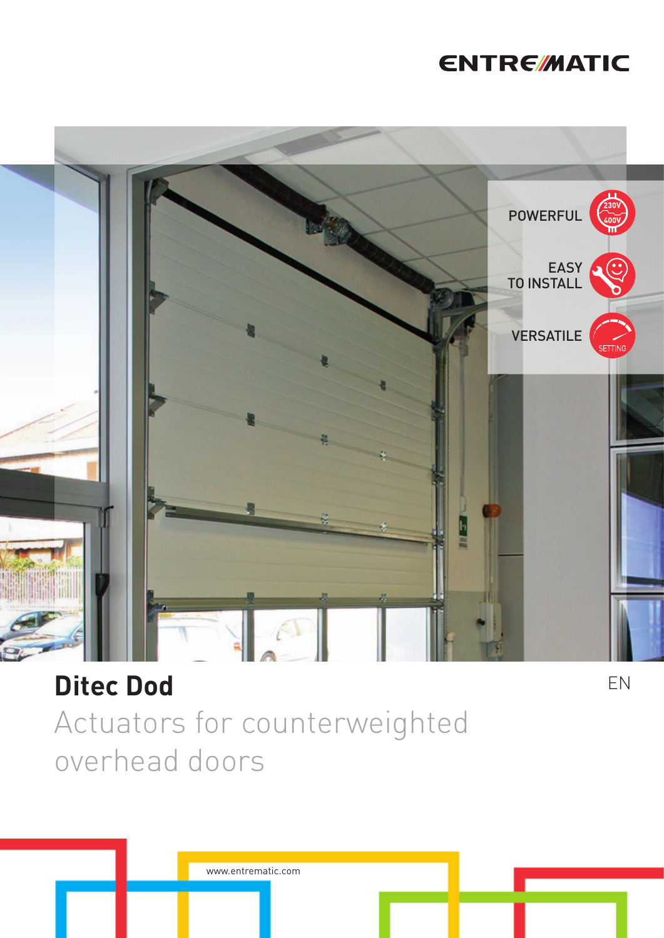### **ENTRE/MATIC**



### **Ditec Dod**

Actuators for counterweighted overhead doors

www.entrematic.com

EN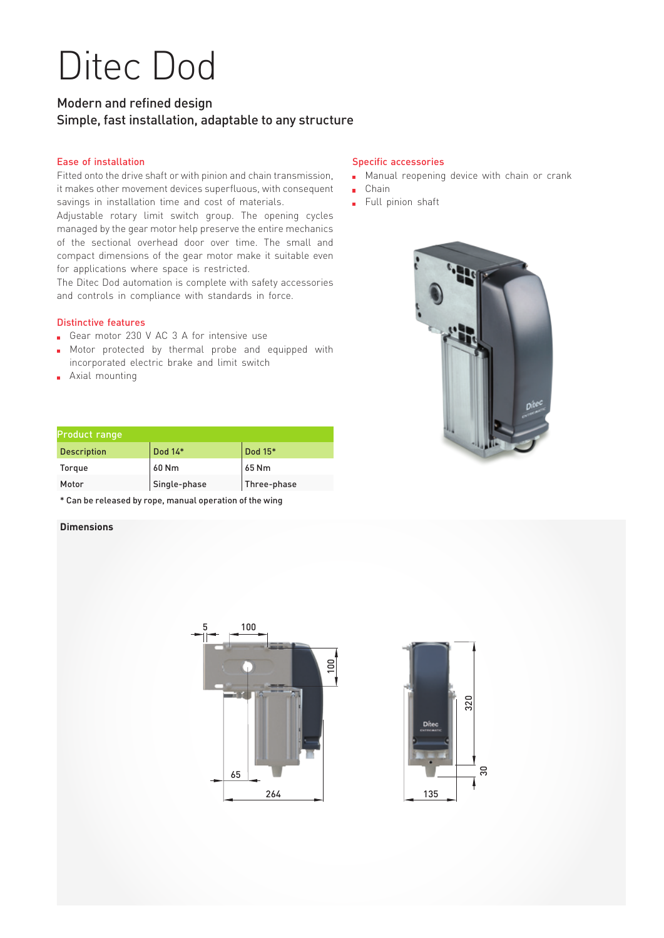# Ditec Dod

#### Modern and refined design Simple, fast installation, adaptable to any structure

#### Ease of installation

Fitted onto the drive shaft or with pinion and chain transmission, it makes other movement devices superfluous, with consequent savings in installation time and cost of materials.

Adjustable rotary limit switch group. The opening cycles managed by the gear motor help preserve the entire mechanics of the sectional overhead door over time. The small and compact dimensions of the gear motor make it suitable even for applications where space is restricted.

The Ditec Dod automation is complete with safety accessories and controls in compliance with standards in force.

#### Distinctive features

- Gear motor 230 V AC 3 A for intensive use
- Motor protected by thermal probe and equipped with incorporated electric brake and limit switch
- **Axial mounting**

#### Specific accessories

- **Manual reopening device with chain or crank**
- Chain
- Full pinion shaft



| Product range      |              |             |  |  |
|--------------------|--------------|-------------|--|--|
| <b>Description</b> | Dod 14*      | Dod 15*     |  |  |
| Torque             | 60 Nm        | 65 Nm       |  |  |
| Motor              | Single-phase | Three-phase |  |  |

\* Can be released by rope, manual operation of the wing

#### **Dimensions**



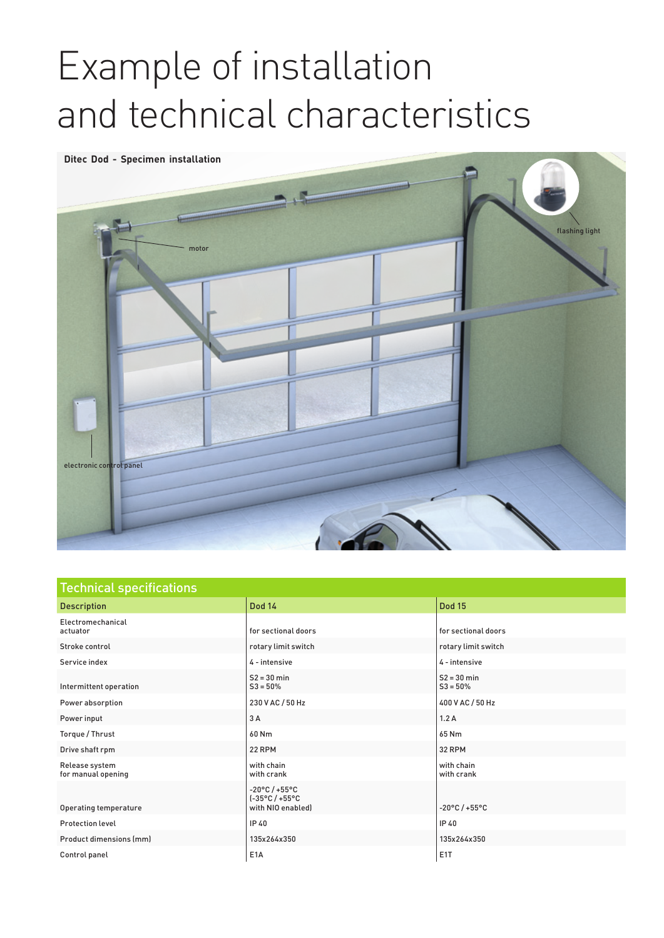# Example of installation and technical characteristics



| <b>Technical specifications</b>      |                                                                                |                             |  |  |
|--------------------------------------|--------------------------------------------------------------------------------|-----------------------------|--|--|
| <b>Description</b>                   | <b>Dod 14</b>                                                                  | <b>Dod 15</b>               |  |  |
| Electromechanical<br>actuator        | for sectional doors                                                            | for sectional doors         |  |  |
| Stroke control                       | rotary limit switch                                                            | rotary limit switch         |  |  |
| Service index                        | 4 - intensive                                                                  | 4 - intensive               |  |  |
| Intermittent operation               | $S2 = 30$ min<br>$S3 = 50%$                                                    | $S2 = 30$ min<br>$S3 = 50%$ |  |  |
| Power absorption                     | 230 V AC / 50 Hz                                                               | 400 V AC / 50 Hz            |  |  |
| Power input                          | 3A                                                                             | 1.2A                        |  |  |
| Torque / Thrust                      | 60 Nm                                                                          | 65 Nm                       |  |  |
| Drive shaft rpm                      | 22 RPM                                                                         | 32 RPM                      |  |  |
| Release system<br>for manual opening | with chain<br>with crank                                                       | with chain<br>with crank    |  |  |
| Operating temperature                | $-20^{\circ}$ C / +55°C<br>$[-35^{\circ}C/ +55^{\circ}C]$<br>with NIO enabled] | $-20^{\circ}$ C / +55°C     |  |  |
| <b>Protection level</b>              | IP 40                                                                          | IP 40                       |  |  |
| <b>Product dimensions (mm)</b>       | 135x264x350                                                                    | 135x264x350                 |  |  |
| Control panel                        | E <sub>1</sub> A                                                               | E <sub>1</sub> T            |  |  |